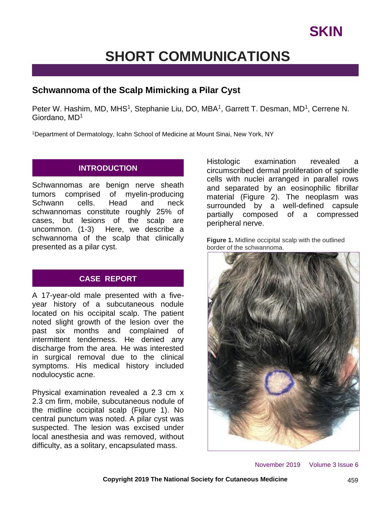# **SHORT COMMUNICATIONS**

# **Schwannoma of the Scalp Mimicking a Pilar Cyst**

Peter W. Hashim, MD, MHS<sup>1</sup>, Stephanie Liu, DO, MBA<sup>1</sup>, Garrett T. Desman, MD<sup>1</sup>, Cerrene N. Giordano, MD<sup>1</sup>

<sup>1</sup>Department of Dermatology, Icahn School of Medicine at Mount Sinai, New York, NY

## **INTRODUCTION**

Schwannomas are benign nerve sheath tumors comprised of myelin-producing Schwann cells. Head and neck schwannomas constitute roughly 25% of cases, but lesions of the scalp are uncommon. (1-3) Here, we describe a schwannoma of the scalp that clinically presented as a pilar cyst.

## **CASE REPORT**

A 17-year-old male presented with a fiveyear history of a subcutaneous nodule located on his occipital scalp. The patient noted slight growth of the lesion over the past six months and complained of intermittent tenderness. He denied any discharge from the area. He was interested in surgical removal due to the clinical symptoms. His medical history included nodulocystic acne.

Physical examination revealed a 2.3 cm x 2.3 cm firm, mobile, subcutaneous nodule of the midline occipital scalp (Figure 1). No central punctum was noted. A pilar cyst was suspected. The lesion was excised under local anesthesia and was removed, without difficulty, as a solitary, encapsulated mass.

Histologic examination revealed a circumscribed dermal proliferation of spindle cells with nuclei arranged in parallel rows and separated by an eosinophilic fibrillar material (Figure 2). The neoplasm was surrounded by a well-defined capsule partially composed of a compressed peripheral nerve.





November 2019 Volume 3 Issue 6